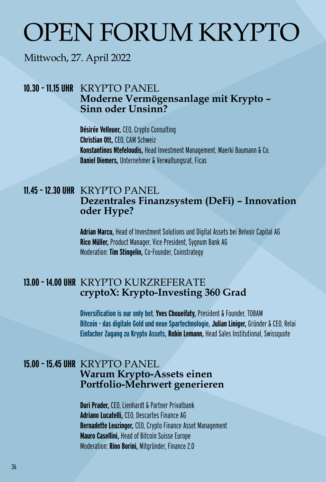# OPEN FORUM KRYPTO

## Mittwoch, 27. April 2022

#### **10.30 – 11.15 UHR** KRYPTO PANEL **Moderne Vermögensanlage mit Krypto – Sinn oder Unsinn?**

**Désirée Velleuer,** CEO, Crypto Consulting **Christian Ott,** CEO, CAM Schweiz **Konstantinos Ntefeloudis,** Head Investment Management, Maerki Baumann & Co. **Daniel Diemers,** Unternehmer & Verwaltungsrat, Ficas

#### **11.45 – 12.30 UHR** KRYPTO PANEL  **Dezentrales Finanzsystem (DeFi) – Innovation oder Hype?**

**Adrian Marcu,** Head of Investment Solutions und Digital Assets bei Belvoir Capital AG **Rico Müller,** Product Manager, Vice President, Sygnum Bank AG Moderation: **Tim Stingelin,** Co-Founder, Coinstrategy

#### **13.00 – 14.00 UHR** KRYPTO KURZREFERATE  **cryptoX: Krypto-Investing 360 Grad**

**Diversification is our only bet**, **Yves Choueifaty,** President & Founder, TOBAM **Bitcoin - das digitale Gold und neue Spartechnologie, Julian Liniger,** Gründer & CEO, Relai **Einfacher Zugang zu Krypto Assets, Robin Lemann,** Head Sales Institutional, Swissquote

#### **15.00 – 15.45 UHR** KRYPTO PANEL **Warum Krypto-Assets einen Portfolio-Mehrwert generieren**

 **Duri Prader,** CEO, Lienhardt & Partner Privatbank  **Adriano Lucatelli,** CEO, Descartes Finance AG  **Bernadette Leuzinger,** CEO, Crypto Finance Asset Management **Mauro Casellini,** Head of Bitcoin Suisse Europe Moderation: **Rino Borini,** Mitgründer, Finance 2.0